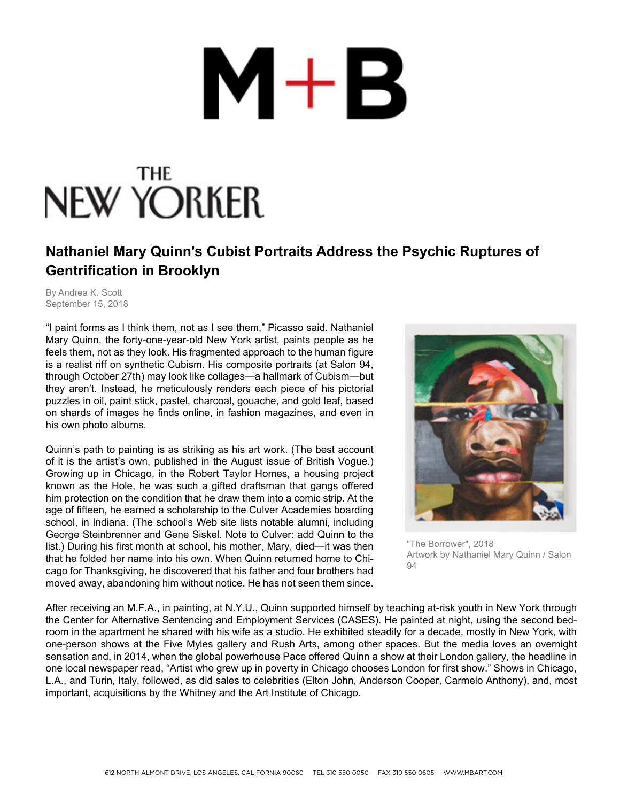## $M+B$

## NEW YORKER

## **Nathaniel Mary Quinn's Cubist Portraits Address the Psychic Ruptures of Gentrification in Brooklyn**

By Andrea K. Scott September 15, 2018

"I paint forms as I think them, not as I see them," Picasso said. Nathaniel Mary Quinn, the forty-one-year-old New York artist, paints people as he feels them, not as they look. His fragmented approach to the human figure is a realist riff on synthetic Cubism. His composite portraits (at Salon 94, through October 27th) may look like collages—a hallmark of Cubism—but they aren't. Instead, he meticulously renders each piece of his pictorial puzzles in oil, paint stick, pastel, charcoal, gouache, and gold leaf, based on shards of images he finds online, in fashion magazines, and even in his own photo albums.

Quinn's path to painting is as striking as his art work. (The best account of it is the artist's own, published in the August issue of British Vogue.) Growing up in Chicago, in the Robert Taylor Homes, a housing project known as the Hole, he was such a gifted draftsman that gangs offered him protection on the condition that he draw them into a comic strip. At the age of fifteen, he earned a scholarship to the Culver Academies boarding school, in Indiana. (The school's Web site lists notable alumni, including George Steinbrenner and Gene Siskel. Note to Culver: add Quinn to the list.) During his first month at school, his mother, Mary, died—it was then that he folded her name into his own. When Quinn returned home to Chicago for Thanksgiving, he discovered that his father and four brothers had moved away, abandoning him without notice. He has not seen them since.



"The Borrower", 2018 Artwork by Nathaniel Mary Quinn / Salon  $Q_{\Delta}$ 

After receiving an M.F.A., in painting, at N.Y.U., Quinn supported himself by teaching at-risk youth in New York through the Center for Alternative Sentencing and Employment Services (CASES). He painted at night, using the second bedroom in the apartment he shared with his wife as a studio. He exhibited steadily for a decade, mostly in New York, with one-person shows at the Five Myles gallery and Rush Arts, among other spaces. But the media loves an overnight sensation and, in 2014, when the global powerhouse Pace offered Quinn a show at their London gallery, the headline in one local newspaper read, "Artist who grew up in poverty in Chicago chooses London for first show." Shows in Chicago, L.A., and Turin, Italy, followed, as did sales to celebrities (Elton John, Anderson Cooper, Carmelo Anthony), and, most important, acquisitions by the Whitney and the Art Institute of Chicago.